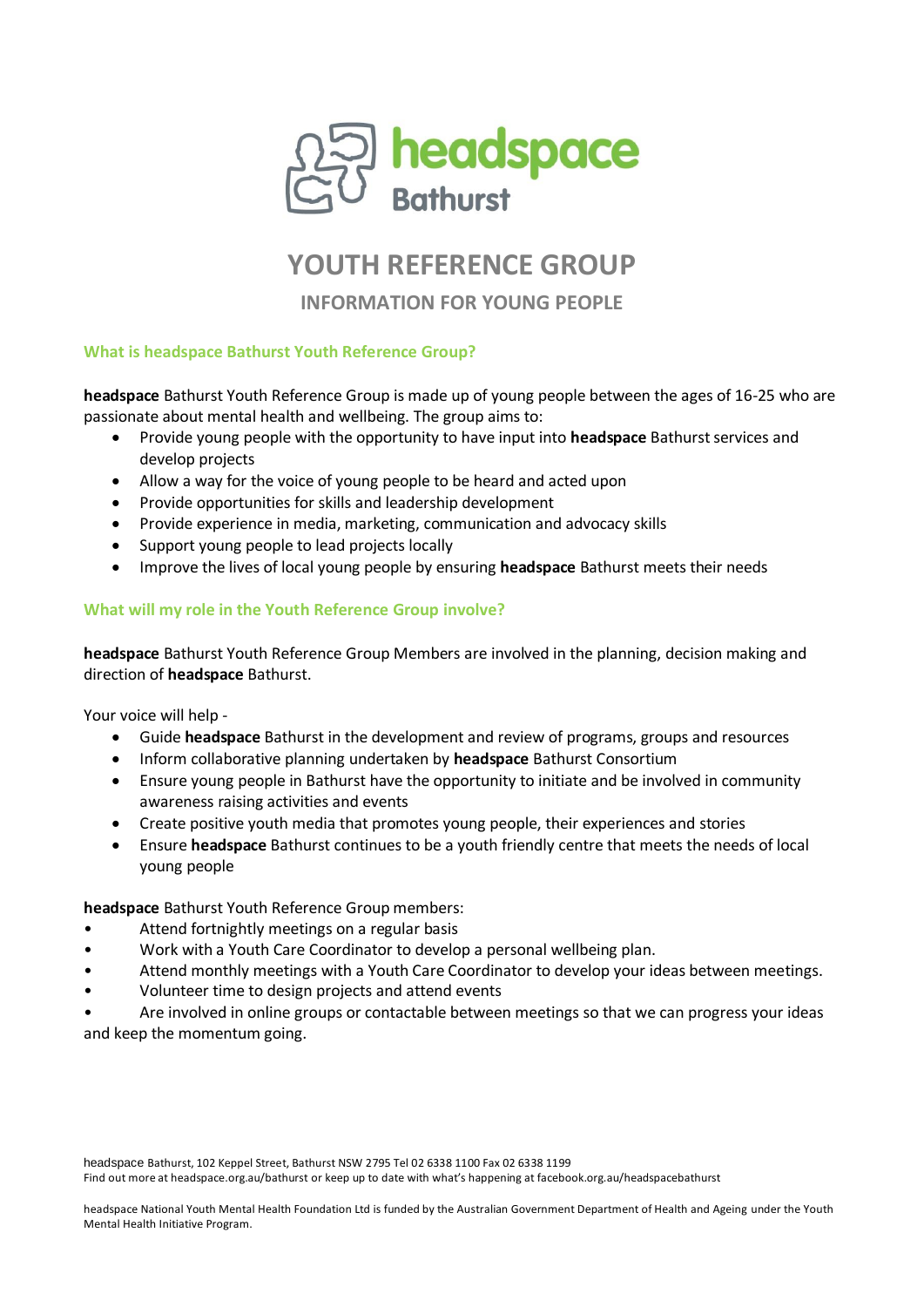

# **YOUTH REFERENCE GROUP**

**INFORMATION FOR YOUNG PEOPLE**

### **What is headspace Bathurst Youth Reference Group?**

**headspace** Bathurst Youth Reference Group is made up of young people between the ages of 16-25 who are passionate about mental health and wellbeing. The group aims to:

- Provide young people with the opportunity to have input into **headspace** Bathurst services and develop projects
- Allow a way for the voice of young people to be heard and acted upon
- Provide opportunities for skills and leadership development
- Provide experience in media, marketing, communication and advocacy skills
- Support young people to lead projects locally
- Improve the lives of local young people by ensuring **headspace** Bathurst meets their needs

## **What will my role in the Youth Reference Group involve?**

**headspace** Bathurst Youth Reference Group Members are involved in the planning, decision making and direction of **headspace** Bathurst.

Your voice will help -

- Guide **headspace** Bathurst in the development and review of programs, groups and resources
- Inform collaborative planning undertaken by **headspace** Bathurst Consortium
- Ensure young people in Bathurst have the opportunity to initiate and be involved in community awareness raising activities and events
- Create positive youth media that promotes young people, their experiences and stories
- Ensure **headspace** Bathurst continues to be a youth friendly centre that meets the needs of local young people

**headspace** Bathurst Youth Reference Group members:

- Attend fortnightly meetings on a regular basis
- Work with a Youth Care Coordinator to develop a personal wellbeing plan.
- Attend monthly meetings with a Youth Care Coordinator to develop your ideas between meetings.
- Volunteer time to design projects and attend events

• Are involved in online groups or contactable between meetings so that we can progress your ideas and keep the momentum going.

headspace Bathurst, 102 Keppel Street, Bathurst NSW 2795 Tel 02 6338 1100 Fax 02 6338 1199 Find out more at headspace.org.au/bathurst or keep up to date with what's happening at facebook.org.au/headspacebathurst